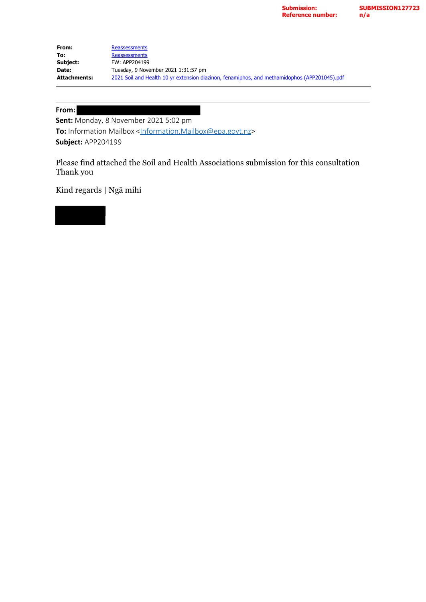| From:               | Reassessments                                                                                |
|---------------------|----------------------------------------------------------------------------------------------|
| To:                 | Reassessments                                                                                |
| Subject:            | FW: APP204199                                                                                |
| Date:               | Tuesday, 9 November 2021 1:31:57 pm                                                          |
| <b>Attachments:</b> | 2021 Soil and Health 10 yr extension diazinon, fenamiphos, and methamidophos (APP201045).pdf |

## **From:**

**Sent:** Monday, 8 November 2021 5:02 pm **To:** Information Mailbox <[Information.Mailbox@epa.govt.nz>](mailto:Information.Mailbox@epa.govt.nz) **Subject:** APP204199

Please find attached the Soil and Health Associations submission for this consultation Thank you

Kind regards | Ngā mihi

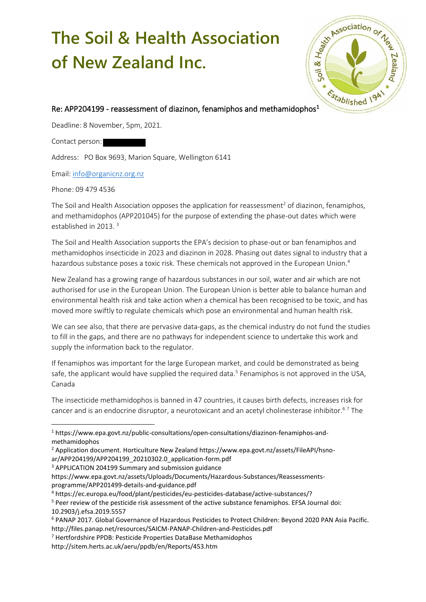## **The Soil & Health Association of New Zealand Inc.**



## Re: APP204199 - reassessment of diazinon, fenamiphos and methamidophos<sup>1</sup>

Deadline: 8 November, 5pm, 2021.

Contact person:

Address: PO Box 9693, Marion Square, Wellington 6141

Email[: info@organicnz.org.nz](mailto:info@organicnz.org.nz)

Phone: 09 479 4536

The Soil and Health Association opposes the application for reassessment<sup>2</sup> of diazinon, fenamiphos, and methamidophos (APP201045) for the purpose of extending the phase-out dates which were established in 2013. <sup>3</sup>

The Soil and Health Association supports the EPA's decision to phase-out or ban fenamiphos and methamidophos insecticide in 2023 and diazinon in 2028. Phasing out dates signal to industry that a hazardous substance poses a toxic risk. These chemicals not approved in the European Union.<sup>4</sup>

New Zealand has a growing range of hazardous substances in our soil, water and air which are not authorised for use in the European Union. The European Union is better able to balance human and environmental health risk and take action when a chemical has been recognised to be toxic, and has moved more swiftly to regulate chemicals which pose an environmental and human health risk.

We can see also, that there are pervasive data-gaps, as the chemical industry do not fund the studies to fill in the gaps, and there are no pathways for independent science to undertake this work and supply the information back to the regulator.

If fenamiphos was important for the large European market, and could be demonstrated as being safe, the applicant would have supplied the required data.<sup>5</sup> Fenamiphos is not approved in the USA, Canada

The insecticide methamidophos is banned in 47 countries, it causes birth defects, increases risk for cancer and is an endocrine disruptor, a neurotoxicant and an acetyl cholinesterase inhibitor.<sup>67</sup> The

<sup>3</sup> APPLICATION 204199 Summary and submission guidance

https://www.epa.govt.nz/assets/Uploads/Documents/Hazardous-Substances/Reassessmentsprogramme/APP201499-details-and-guidance.pdf

<sup>4</sup> https://ec.europa.eu/food/plant/pesticides/eu-pesticides-database/active-substances/?

<sup>7</sup> Hertfordshire PPDB: Pesticide Properties DataBase Methamidophos

<sup>1</sup> https://www.epa.govt.nz/public-consultations/open-consultations/diazinon-fenamiphos-andmethamidophos

<sup>2</sup> Application document. Horticulture New Zealand https://www.epa.govt.nz/assets/FileAPI/hsnoar/APP204199/APP204199\_20210302.0\_application-form.pdf

<sup>5</sup> Peer review of the pesticide risk assessment of the active substance fenamiphos. EFSA Journal doi: 10.2903/j.efsa.2019.5557

<sup>6</sup> PANAP 2017. Global Governance of Hazardous Pesticides to Protect Children: Beyond 2020 PAN Asia Pacific. http://files.panap.net/resources/SAICM-PANAP-Children-and-Pesticides.pdf

http://sitem.herts.ac.uk/aeru/ppdb/en/Reports/453.htm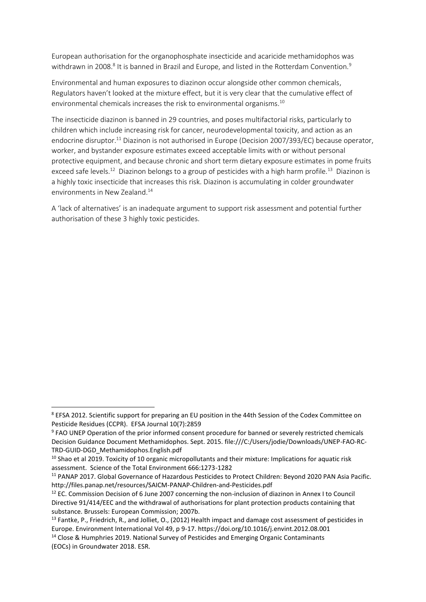European authorisation for the organophosphate insecticide and acaricide methamidophos was withdrawn in 2008.<sup>8</sup> It is banned in Brazil and Europe, and listed in the Rotterdam Convention.<sup>9</sup>

Environmental and human exposures to diazinon occur alongside other common chemicals, Regulators haven't looked at the mixture effect, but it is very clear that the cumulative effect of environmental chemicals increases the risk to environmental organisms.<sup>10</sup>

The insecticide diazinon is banned in 29 countries, and poses multifactorial risks, particularly to children which include increasing risk for cancer, neurodevelopmental toxicity, and action as an endocrine disruptor.<sup>11</sup> Diazinon is not authorised in Europe (Decision 2007/393/EC) because operator, worker, and bystander exposure estimates exceed acceptable limits with or without personal protective equipment, and because chronic and short term dietary exposure estimates in pome fruits exceed safe levels.<sup>12</sup> Diazinon belongs to a group of pesticides with a high harm profile.<sup>13</sup> Diazinon is a highly toxic insecticide that increases this risk. Diazinon is accumulating in colder groundwater environments in New Zealand.<sup>14</sup>

A 'lack of alternatives' is an inadequate argument to support risk assessment and potential further authorisation of these 3 highly toxic pesticides.

<sup>8</sup> EFSA 2012. Scientific support for preparing an EU position in the 44th Session of the Codex Committee on Pesticide Residues (CCPR). EFSA Journal 10(7):2859

<sup>&</sup>lt;sup>9</sup> FAO UNEP Operation of the prior informed consent procedure for banned or severely restricted chemicals Decision Guidance Document Methamidophos. Sept. 2015. file:///C:/Users/jodie/Downloads/UNEP-FAO-RC-TRD-GUID-DGD\_Methamidophos.English.pdf

<sup>&</sup>lt;sup>10</sup> Shao et al 2019. Toxicity of 10 organic micropollutants and their mixture: Implications for aquatic risk assessment. Science of the Total Environment 666:1273-1282

<sup>11</sup> PANAP 2017. Global Governance of Hazardous Pesticides to Protect Children: Beyond 2020 PAN Asia Pacific. http://files.panap.net/resources/SAICM-PANAP-Children-and-Pesticides.pdf

<sup>&</sup>lt;sup>12</sup> EC. Commission Decision of 6 June 2007 concerning the non-inclusion of diazinon in Annex I to Council Directive 91/414/EEC and the withdrawal of authorisations for plant protection products containing that substance. Brussels: European Commission; 2007b.

<sup>&</sup>lt;sup>13</sup> Fantke, P., Friedrich, R., and Jolliet, O., (2012) Health impact and damage cost assessment of pesticides in Europe. Environment International Vol 49, p 9-17. https://doi.org/10.1016/j.envint.2012.08.001 <sup>14</sup> Close & Humphries 2019. National Survey of Pesticides and Emerging Organic Contaminants (EOCs) in Groundwater 2018. ESR.